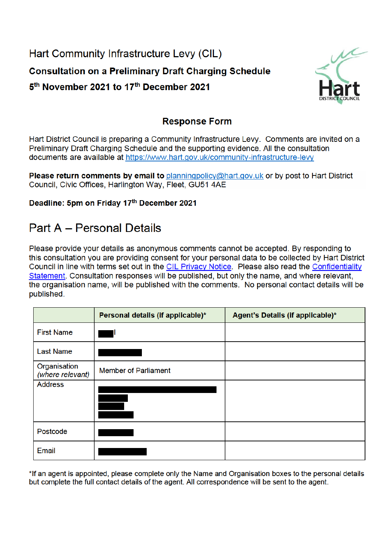Hart Community Infrastructure Levy (CIL) **Consultation on a Preliminary Draft Charging Schedule** 5<sup>th</sup> November 2021 to 17<sup>th</sup> December 2021



### **Response Form**

Hart District Council is preparing a Community Infrastructure Levy. Comments are invited on a Preliminary Draft Charging Schedule and the supporting evidence. All the consultation documents are available at https://www.hart.gov.uk/community-infrastructure-levy

Please return comments by email to planningpolicy@hart.gov.uk or by post to Hart District Council, Civic Offices, Harlington Way, Fleet, GU51 4AE

#### Deadline: 5pm on Friday 17th December 2021

# **Part A - Personal Details**

Please provide your details as anonymous comments cannot be accepted. By responding to this consultation you are providing consent for your personal data to be collected by Hart District Council in line with terms set out in the CIL Privacy Notice. Please also read the Confidentiality Statement. Consultation responses will be published, but only the name, and where relevant, the organisation name, will be published with the comments. No personal contact details will be published.

|                                  | Personal details (if applicable)* | Agent's Details (if applicable)* |
|----------------------------------|-----------------------------------|----------------------------------|
| <b>First Name</b>                |                                   |                                  |
| <b>Last Name</b>                 |                                   |                                  |
| Organisation<br>(where relevant) | <b>Member of Parliament</b>       |                                  |
| <b>Address</b>                   |                                   |                                  |
| Postcode                         |                                   |                                  |
| Email                            |                                   |                                  |

\*If an agent is appointed, please complete only the Name and Organisation boxes to the personal details but complete the full contact details of the agent. All correspondence will be sent to the agent.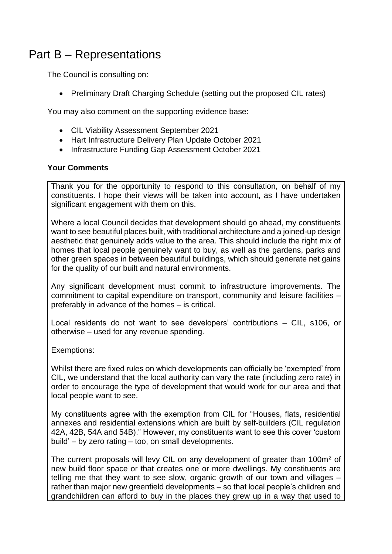## Part B – Representations

The Council is consulting on:

• Preliminary Draft Charging Schedule (setting out the proposed CIL rates)

You may also comment on the supporting evidence base:

- CIL Viability Assessment September 2021
- Hart Infrastructure Delivery Plan Update October 2021
- Infrastructure Funding Gap Assessment October 2021

#### **Your Comments**

Thank you for the opportunity to respond to this consultation, on behalf of my constituents. I hope their views will be taken into account, as I have undertaken significant engagement with them on this.

Where a local Council decides that development should go ahead, my constituents want to see beautiful places built, with traditional architecture and a joined-up design aesthetic that genuinely adds value to the area. This should include the right mix of homes that local people genuinely want to buy, as well as the gardens, parks and other green spaces in between beautiful buildings, which should generate net gains for the quality of our built and natural environments.

Any significant development must commit to infrastructure improvements. The commitment to capital expenditure on transport, community and leisure facilities – preferably in advance of the homes – is critical.

Local residents do not want to see developers' contributions – CIL, s106, or otherwise – used for any revenue spending.

#### Exemptions:

Whilst there are fixed rules on which developments can officially be 'exempted' from CIL, we understand that the local authority can vary the rate (including zero rate) in order to encourage the type of development that would work for our area and that local people want to see.

My constituents agree with the exemption from CIL for "Houses, flats, residential annexes and residential extensions which are built by self-builders (CIL regulation 42A, 42B, 54A and 54B)." However, my constituents want to see this cover 'custom build' – by zero rating – too, on small developments.

The current proposals will levy CIL on any development of greater than 100m<sup>2</sup> of new build floor space or that creates one or more dwellings. My constituents are telling me that they want to see slow, organic growth of our town and villages – rather than major new greenfield developments – so that local people's children and grandchildren can afford to buy in the places they grew up in a way that used to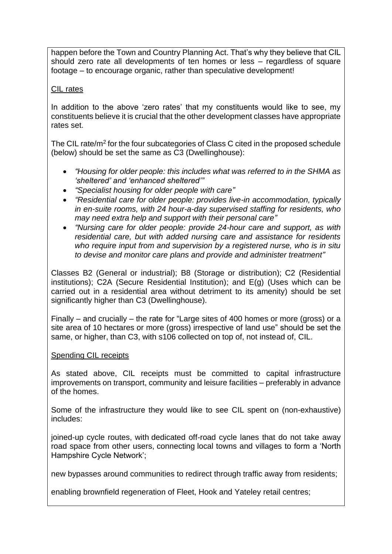happen before the Town and Country Planning Act. That's why they believe that CIL should zero rate all developments of ten homes or less – regardless of square footage – to encourage organic, rather than speculative development!

#### CIL rates

In addition to the above 'zero rates' that my constituents would like to see, my constituents believe it is crucial that the other development classes have appropriate rates set.

The CIL rate/m<sup>2</sup> for the four subcategories of Class C cited in the proposed schedule (below) should be set the same as C3 (Dwellinghouse):

- *"Housing for older people: this includes what was referred to in the SHMA as 'sheltered' and 'enhanced sheltered'"*
- *"Specialist housing for older people with care"*
- *"Residential care for older people: provides live-in accommodation, typically in en-suite rooms, with 24 hour-a-day supervised staffing for residents, who may need extra help and support with their personal care"*
- *"Nursing care for older people: provide 24-hour care and support, as with residential care, but with added nursing care and assistance for residents who require input from and supervision by a registered nurse, who is in situ to devise and monitor care plans and provide and administer treatment"*

Classes B2 (General or industrial); B8 (Storage or distribution); C2 (Residential institutions); C2A (Secure Residential Institution); and E(g) (Uses which can be carried out in a residential area without detriment to its amenity) should be set significantly higher than C3 (Dwellinghouse).

Finally – and crucially – the rate for "Large sites of 400 homes or more (gross) or a site area of 10 hectares or more (gross) irrespective of land use" should be set the same, or higher, than C3, with s106 collected on top of, not instead of, CIL.

#### Spending CIL receipts

As stated above, CIL receipts must be committed to capital infrastructure improvements on transport, community and leisure facilities – preferably in advance of the homes.

Some of the infrastructure they would like to see CIL spent on (non-exhaustive) includes:

joined-up cycle routes, with dedicated off-road cycle lanes that do not take away road space from other users, connecting local towns and villages to form a 'North Hampshire Cycle Network';

new bypasses around communities to redirect through traffic away from residents;

enabling brownfield regeneration of Fleet, Hook and Yateley retail centres;